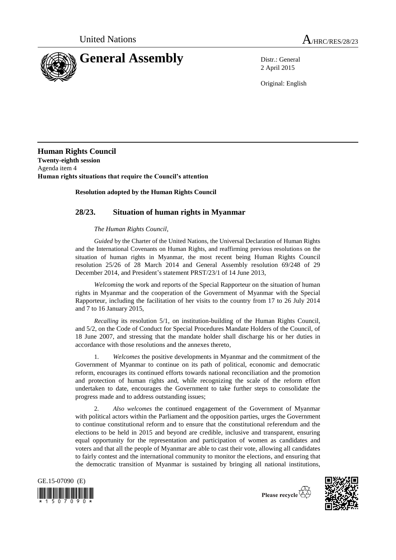

2 April 2015

Original: English

**Human Rights Council Twenty-eighth session** Agenda item 4 **Human rights situations that require the Council's attention**

## **Resolution adopted by the Human Rights Council**

## **28/23. Situation of human rights in Myanmar**

## *The Human Rights Council*,

*Guided* by the Charter of the United Nations, the Universal Declaration of Human Rights and the International Covenants on Human Rights, and reaffirming previous resolutions on the situation of human rights in Myanmar, the most recent being Human Rights Council resolution 25/26 of 28 March 2014 and General Assembly resolution 69/248 of 29 December 2014, and President's statement PRST/23/1 of 14 June 2013,

*Welcoming* the work and reports of the Special Rapporteur on the situation of human rights in Myanmar and the cooperation of the Government of Myanmar with the Special Rapporteur, including the facilitation of her visits to the country from 17 to 26 July 2014 and 7 to 16 January 2015,

*Recalling* its resolution 5/1, on institution-building of the Human Rights Council, and 5/2, on the Code of Conduct for Special Procedures Mandate Holders of the Council, of 18 June 2007, and stressing that the mandate holder shall discharge his or her duties in accordance with those resolutions and the annexes thereto,

1*. Welcomes* the positive developments in Myanmar and the commitment of the Government of Myanmar to continue on its path of political, economic and democratic reform, encourages its continued efforts towards national reconciliation and the promotion and protection of human rights and, while recognizing the scale of the reform effort undertaken to date, encourages the Government to take further steps to consolidate the progress made and to address outstanding issues;

2*. Also welcomes* the continued engagement of the Government of Myanmar with political actors within the Parliament and the opposition parties, urges the Government to continue constitutional reform and to ensure that the constitutional referendum and the elections to be held in 2015 and beyond are credible, inclusive and transparent, ensuring equal opportunity for the representation and participation of women as candidates and voters and that all the people of Myanmar are able to cast their vote, allowing all candidates to fairly contest and the international community to monitor the elections, and ensuring that the democratic transition of Myanmar is sustained by bringing all national institutions,

GE.15-07090 (E)  $\frac{1}{2}$  ,  $\frac{1}{2}$  ,  $\frac{1}{2}$  ,  $\frac{1}{2}$  ,  $\frac{1}{2}$  ,  $\frac{1}{2}$  ,  $\frac{1}{2}$ 

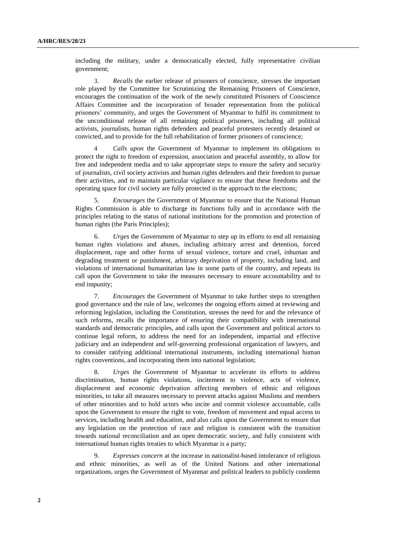including the military, under a democratically elected, fully representative civilian government;

3. *Recalls* the earlier release of prisoners of conscience, stresses the important role played by the Committee for Scrutinizing the Remaining Prisoners of Conscience, encourages the continuation of the work of the newly constituted Prisoners of Conscience Affairs Committee and the incorporation of broader representation from the political prisoners' community, and urges the Government of Myanmar to fulfil its commitment to the unconditional release of all remaining political prisoners, including all political activists, journalists, human rights defenders and peaceful protesters recently detained or convicted, and to provide for the full rehabilitation of former prisoners of conscience;

4 *Calls upon* the Government of Myanmar to implement its obligations to protect the right to freedom of expression, association and peaceful assembly, to allow for free and independent media and to take appropriate steps to ensure the safety and security of journalists, civil society activists and human rights defenders and their freedom to pursue their activities, and to maintain particular vigilance to ensure that these freedoms and the operating space for civil society are fully protected in the approach to the elections;

5. *Encourages* the Government of Myanmar to ensure that the National Human Rights Commission is able to discharge its functions fully and in accordance with the principles relating to the status of national institutions for the promotion and protection of human rights (the Paris Principles);

6. *Urges* the Government of Myanmar to step up its efforts to end all remaining human rights violations and abuses, including arbitrary arrest and detention, forced displacement, rape and other forms of sexual violence, torture and cruel, inhuman and degrading treatment or punishment, arbitrary deprivation of property, including land, and violations of international humanitarian law in some parts of the country, and repeats its call upon the Government to take the measures necessary to ensure accountability and to end impunity;

7. *Encourages* the Government of Myanmar to take further steps to strengthen good governance and the rule of law, welcomes the ongoing efforts aimed at reviewing and reforming legislation, including the Constitution, stresses the need for and the relevance of such reforms, recalls the importance of ensuring their compatibility with international standards and democratic principles, and calls upon the Government and political actors to continue legal reform, to address the need for an independent, impartial and effective judiciary and an independent and self-governing professional organization of lawyers, and to consider ratifying additional international instruments, including international human rights conventions, and incorporating them into national legislation;

8. *Urges* the Government of Myanmar to accelerate its efforts to address discrimination, human rights violations, incitement to violence, acts of violence, displacement and economic deprivation affecting members of ethnic and religious minorities, to take all measures necessary to prevent attacks against Muslims and members of other minorities and to hold actors who incite and commit violence accountable, calls upon the Government to ensure the right to vote, freedom of movement and equal access to services, including health and education, and also calls upon the Government to ensure that any legislation on the protection of race and religion is consistent with the transition towards national reconciliation and an open democratic society, and fully consistent with international human rights treaties to which Myanmar is a party;

9. *Expresses concern* at the increase in nationalist-based intolerance of religious and ethnic minorities, as well as of the United Nations and other international organizations, urges the Government of Myanmar and political leaders to publicly condemn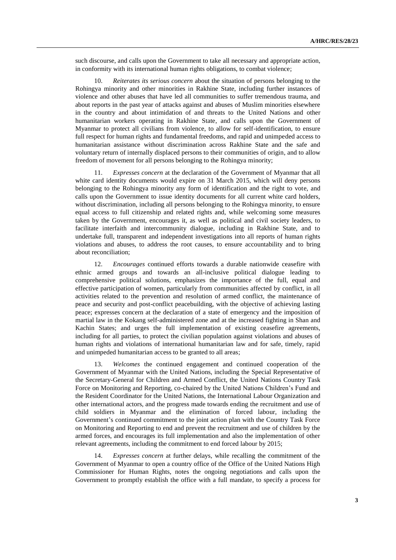such discourse, and calls upon the Government to take all necessary and appropriate action, in conformity with its international human rights obligations, to combat violence;

10. *Reiterates its serious concern* about the situation of persons belonging to the Rohingya minority and other minorities in Rakhine State, including further instances of violence and other abuses that have led all communities to suffer tremendous trauma, and about reports in the past year of attacks against and abuses of Muslim minorities elsewhere in the country and about intimidation of and threats to the United Nations and other humanitarian workers operating in Rakhine State, and calls upon the Government of Myanmar to protect all civilians from violence, to allow for self-identification, to ensure full respect for human rights and fundamental freedoms, and rapid and unimpeded access to humanitarian assistance without discrimination across Rakhine State and the safe and voluntary return of internally displaced persons to their communities of origin, and to allow freedom of movement for all persons belonging to the Rohingya minority;

11. *Expresses concern* at the declaration of the Government of Myanmar that all white card identity documents would expire on 31 March 2015, which will deny persons belonging to the Rohingya minority any form of identification and the right to vote, and calls upon the Government to issue identity documents for all current white card holders, without discrimination, including all persons belonging to the Rohingya minority, to ensure equal access to full citizenship and related rights and, while welcoming some measures taken by the Government, encourages it, as well as political and civil society leaders, to facilitate interfaith and intercommunity dialogue, including in Rakhine State, and to undertake full, transparent and independent investigations into all reports of human rights violations and abuses, to address the root causes, to ensure accountability and to bring about reconciliation;

12. *Encourages* continued efforts towards a durable nationwide ceasefire with ethnic armed groups and towards an all-inclusive political dialogue leading to comprehensive political solutions, emphasizes the importance of the full, equal and effective participation of women, particularly from communities affected by conflict, in all activities related to the prevention and resolution of armed conflict, the maintenance of peace and security and post-conflict peacebuilding, with the objective of achieving lasting peace; expresses concern at the declaration of a state of emergency and the imposition of martial law in the Kokang self-administered zone and at the increased fighting in Shan and Kachin States; and urges the full implementation of existing ceasefire agreements, including for all parties, to protect the civilian population against violations and abuses of human rights and violations of international humanitarian law and for safe, timely, rapid and unimpeded humanitarian access to be granted to all areas;

13. *Welcomes* the continued engagement and continued cooperation of the Government of Myanmar with the United Nations, including the Special Representative of the Secretary-General for Children and Armed Conflict, the United Nations Country Task Force on Monitoring and Reporting, co-chaired by the United Nations Children's Fund and the Resident Coordinator for the United Nations, the International Labour Organization and other international actors, and the progress made towards ending the recruitment and use of child soldiers in Myanmar and the elimination of forced labour, including the Government's continued commitment to the joint action plan with the Country Task Force on Monitoring and Reporting to end and prevent the recruitment and use of children by the armed forces, and encourages its full implementation and also the implementation of other relevant agreements, including the commitment to end forced labour by 2015;

14. *Expresses concern* at further delays, while recalling the commitment of the Government of Myanmar to open a country office of the Office of the United Nations High Commissioner for Human Rights, notes the ongoing negotiations and calls upon the Government to promptly establish the office with a full mandate, to specify a process for